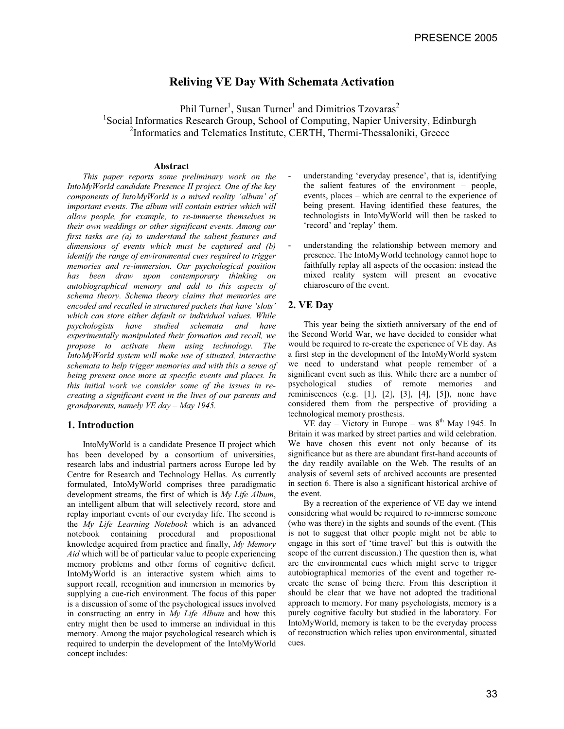# **Reliving VE Day With Schemata Activation**

Phil Turner<sup>1</sup>, Susan Turner<sup>1</sup> and Dimitrios Tzovaras<sup>2</sup> <sup>1</sup>Social Informatics Research Group, School of Computing, Napier University, Edinburgh <sup>2</sup>Informatics and Telematics Institute, CERTH, Thermi-Thessaloniki, Greece

#### **Abstract**

*This paper reports some preliminary work on the IntoMyWorld candidate Presence II project. One of the key components of IntoMyWorld is a mixed reality 'album' of important events. The album will contain entries which will allow people, for example, to re-immerse themselves in their own weddings or other significant events. Among our first tasks are (a) to understand the salient features and dimensions of events which must be captured and (b) identify the range of environmental cues required to trigger memories and re-immersion. Our psychological position has been draw upon contemporary thinking on autobiographical memory and add to this aspects of schema theory. Schema theory claims that memories are encoded and recalled in structured packets that have 'slots' which can store either default or individual values. While psychologists have studied schemata and have experimentally manipulated their formation and recall, we propose to activate them using technology. The IntoMyWorld system will make use of situated, interactive schemata to help trigger memories and with this a sense of being present once more at specific events and places. In this initial work we consider some of the issues in recreating a significant event in the lives of our parents and grandparents, namely VE day – May 1945.*

# **1. Introduction**

IntoMyWorld is a candidate Presence II project which has been developed by a consortium of universities, research labs and industrial partners across Europe led by Centre for Research and Technology Hellas. As currently formulated, IntoMyWorld comprises three paradigmatic development streams, the first of which is *My Life Album*, an intelligent album that will selectively record, store and replay important events of our everyday life. The second is the *My Life Learning Notebook* which is an advanced notebook containing procedural and propositional knowledge acquired from practice and finally, *My Memory Aid* which will be of particular value to people experiencing memory problems and other forms of cognitive deficit. IntoMyWorld is an interactive system which aims to support recall, recognition and immersion in memories by supplying a cue-rich environment. The focus of this paper is a discussion of some of the psychological issues involved in constructing an entry in *My Life Album* and how this entry might then be used to immerse an individual in this memory. Among the major psychological research which is required to underpin the development of the IntoMyWorld concept includes:

- understanding 'everyday presence', that is, identifying the salient features of the environment – people, events, places – which are central to the experience of being present. Having identified these features, the technologists in IntoMyWorld will then be tasked to 'record' and 'replay' them.
- understanding the relationship between memory and presence. The IntoMyWorld technology cannot hope to faithfully replay all aspects of the occasion: instead the mixed reality system will present an evocative chiaroscuro of the event.

### **2. VE Day**

This year being the sixtieth anniversary of the end of the Second World War, we have decided to consider what would be required to re-create the experience of VE day. As a first step in the development of the IntoMyWorld system we need to understand what people remember of a significant event such as this. While there are a number of psychological studies of remote memories and reminiscences (e.g. [1], [2], [3], [4], [5]), none have considered them from the perspective of providing a technological memory prosthesis.

VE day – Victory in Europe – was  $8<sup>th</sup>$  May 1945. In Britain it was marked by street parties and wild celebration. We have chosen this event not only because of its significance but as there are abundant first-hand accounts of the day readily available on the Web. The results of an analysis of several sets of archived accounts are presented in section 6. There is also a significant historical archive of the event.

By a recreation of the experience of VE day we intend considering what would be required to re-immerse someone (who was there) in the sights and sounds of the event. (This is not to suggest that other people might not be able to engage in this sort of 'time travel' but this is outwith the scope of the current discussion.) The question then is, what are the environmental cues which might serve to trigger autobiographical memories of the event and together recreate the sense of being there. From this description it should be clear that we have not adopted the traditional approach to memory. For many psychologists, memory is a purely cognitive faculty but studied in the laboratory. For IntoMyWorld, memory is taken to be the everyday process of reconstruction which relies upon environmental, situated cues.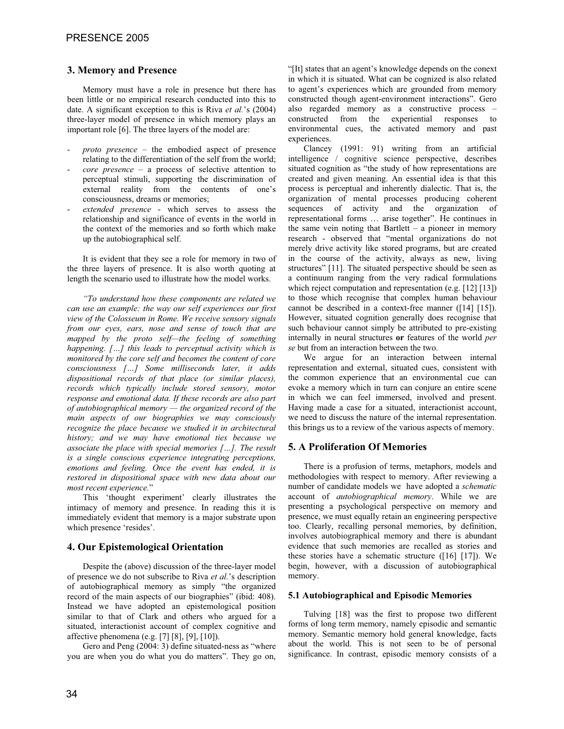# **3. Memory and Presence**

Memory must have a role in presence but there has been little or no empirical research conducted into this to date. A significant exception to this is Riva *et al.*'s (2004) three-layer model of presence in which memory plays an important role [6]. The three layers of the model are:

- proto presence the embodied aspect of presence relating to the differentiation of the self from the world;
- *core presence*  a process of selective attention to perceptual stimuli, supporting the discrimination of external reality from the contents of one's consciousness, dreams or memories;
- extended presence which serves to assess the relationship and significance of events in the world in the context of the memories and so forth which make up the autobiographical self.

It is evident that they see a role for memory in two of the three layers of presence. It is also worth quoting at length the scenario used to illustrate how the model works.

*"To understand how these components are related we can use an example: the way our self experiences our first view of the Colosseum in Rome. We receive sensory signals from our eyes, ears, nose and sense of touch that are mapped by the proto self—the feeling of something happening. […] this leads to perceptual activity which is monitored by the core self and becomes the content of core consciousness […] Some milliseconds later, it adds dispositional records of that place (or similar places), records which typically include stored sensory, motor response and emotional data. If these records are also part of autobiographical memory — the organized record of the main aspects of our biographies we may consciously recognize the place because we studied it in architectural history; and we may have emotional ties because we associate the place with special memories […]. The result is a single conscious experience integrating perceptions, emotions and feeling. Once the event has ended, it is restored in dispositional space with new data about our most recent experience.*"

This 'thought experiment' clearly illustrates the intimacy of memory and presence. In reading this it is immediately evident that memory is a major substrate upon which presence 'resides'.

### **4. Our Epistemological Orientation**

Despite the (above) discussion of the three-layer model of presence we do not subscribe to Riva *et al.*'s description of autobiographical memory as simply "the organized record of the main aspects of our biographies" (ibid: 408). Instead we have adopted an epistemological position similar to that of Clark and others who argued for a situated, interactionist account of complex cognitive and affective phenomena (e.g. [7] [8], [9], [10]).

Gero and Peng (2004: 3) define situated-ness as "where you are when you do what you do matters". They go on, "[It] states that an agent's knowledge depends on the conext in which it is situated. What can be cognized is also related to agent's experiences which are grounded from memory constructed though agent-environment interactions". Gero also regarded memory as a constructive process – constructed from the experiential responses to environmental cues, the activated memory and past experiences.

Clancey (1991: 91) writing from an artificial intelligence / cognitive science perspective, describes situated cognition as "the study of how representations are created and given meaning. An essential idea is that this process is perceptual and inherently dialectic. That is, the organization of mental processes producing coherent sequences of activity and the organization of representational forms … arise together". He continues in the same vein noting that Bartlett – a pioneer in memory research - observed that "mental organizations do not merely drive activity like stored programs, but are created in the course of the activity, always as new, living structures" [11]. The situated perspective should be seen as a continuum ranging from the very radical formulations which reject computation and representation (e.g. [12] [13]) to those which recognise that complex human behaviour cannot be described in a context-free manner ([14] [15]). However, situated cognition generally does recognise that such behaviour cannot simply be attributed to pre-existing internally in neural structures **or** features of the world *per se* but from an interaction between the two.

We argue for an interaction between internal representation and external, situated cues, consistent with the common experience that an environmental cue can evoke a memory which in turn can conjure an entire scene in which we can feel immersed, involved and present. Having made a case for a situated, interactionist account, we need to discuss the nature of the internal representation. this brings us to a review of the various aspects of memory.

### **5. A Proliferation Of Memories**

There is a profusion of terms, metaphors, models and methodologies with respect to memory. After reviewing a number of candidate models we have adopted a *schematic*  account of *autobiographical memory*. While we are presenting a psychological perspective on memory and presence, we must equally retain an engineering perspective too. Clearly, recalling personal memories, by definition, involves autobiographical memory and there is abundant evidence that such memories are recalled as stories and these stories have a schematic structure  $(16)$   $[17]$ ). We begin, however, with a discussion of autobiographical memory.

#### **5.1 Autobiographical and Episodic Memories**

Tulving [18] was the first to propose two different forms of long term memory, namely episodic and semantic memory. Semantic memory hold general knowledge, facts about the world. This is not seen to be of personal significance. In contrast, episodic memory consists of a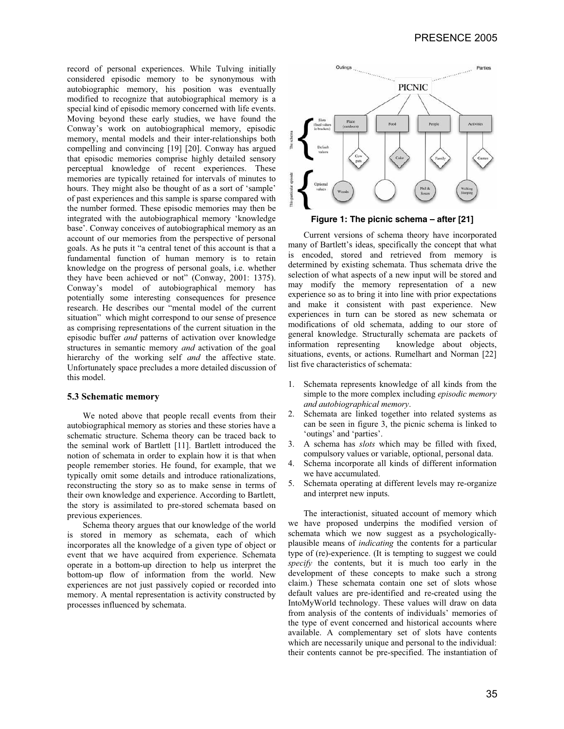record of personal experiences. While Tulving initially considered episodic memory to be synonymous with autobiographic memory, his position was eventually modified to recognize that autobiographical memory is a special kind of episodic memory concerned with life events. Moving beyond these early studies, we have found the Conway's work on autobiographical memory, episodic memory, mental models and their inter-relationships both compelling and convincing [19] [20]. Conway has argued that episodic memories comprise highly detailed sensory perceptual knowledge of recent experiences. These memories are typically retained for intervals of minutes to hours. They might also be thought of as a sort of 'sample' of past experiences and this sample is sparse compared with the number formed. These episodic memories may then be integrated with the autobiographical memory 'knowledge base'. Conway conceives of autobiographical memory as an account of our memories from the perspective of personal goals. As he puts it "a central tenet of this account is that a fundamental function of human memory is to retain knowledge on the progress of personal goals, i.e. whether they have been achieved or not" (Conway, 2001: 1375). Conway's model of autobiographical memory has potentially some interesting consequences for presence research. He describes our "mental model of the current situation" which might correspond to our sense of presence as comprising representations of the current situation in the episodic buffer *and* patterns of activation over knowledge structures in semantic memory *and* activation of the goal hierarchy of the working self *and* the affective state. Unfortunately space precludes a more detailed discussion of this model.

#### **5.3 Schematic memory**

We noted above that people recall events from their autobiographical memory as stories and these stories have a schematic structure. Schema theory can be traced back to the seminal work of Bartlett [11]. Bartlett introduced the notion of schemata in order to explain how it is that when people remember stories. He found, for example, that we typically omit some details and introduce rationalizations, reconstructing the story so as to make sense in terms of their own knowledge and experience. According to Bartlett, the story is assimilated to pre-stored schemata based on previous experiences.

Schema theory argues that our knowledge of the world is stored in memory as schemata, each of which incorporates all the knowledge of a given type of object or event that we have acquired from experience. Schemata operate in a bottom-up direction to help us interpret the bottom-up flow of information from the world. New experiences are not just passively copied or recorded into memory. A mental representation is activity constructed by processes influenced by schemata.





Current versions of schema theory have incorporated many of Bartlett's ideas, specifically the concept that what is encoded, stored and retrieved from memory is determined by existing schemata. Thus schemata drive the selection of what aspects of a new input will be stored and may modify the memory representation of a new experience so as to bring it into line with prior expectations and make it consistent with past experience. New experiences in turn can be stored as new schemata or modifications of old schemata, adding to our store of general knowledge. Structurally schemata are packets of information representing knowledge about objects, situations, events, or actions. Rumelhart and Norman [22] list five characteristics of schemata:

- 1. Schemata represents knowledge of all kinds from the simple to the more complex including *episodic memory and autobiographical memory*.
- 2. Schemata are linked together into related systems as can be seen in figure 3, the picnic schema is linked to 'outings' and 'parties'.
- 3. A schema has *slots* which may be filled with fixed, compulsory values or variable, optional, personal data.
- 4. Schema incorporate all kinds of different information we have accumulated.
- 5. Schemata operating at different levels may re-organize and interpret new inputs.

The interactionist, situated account of memory which we have proposed underpins the modified version of schemata which we now suggest as a psychologicallyplausible means of *indicating* the contents for a particular type of (re)-experience. (It is tempting to suggest we could *specify* the contents, but it is much too early in the development of these concepts to make such a strong claim.) These schemata contain one set of slots whose default values are pre-identified and re-created using the IntoMyWorld technology. These values will draw on data from analysis of the contents of individuals' memories of the type of event concerned and historical accounts where available. A complementary set of slots have contents which are necessarily unique and personal to the individual: their contents cannot be pre-specified. The instantiation of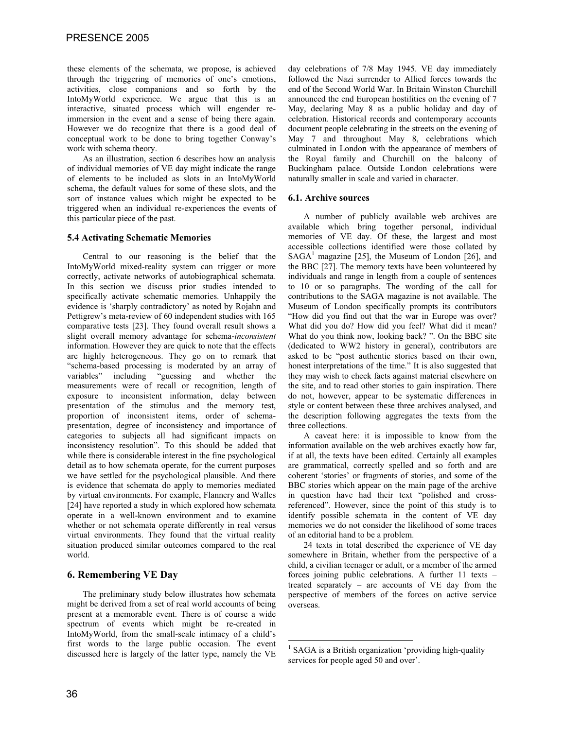these elements of the schemata, we propose, is achieved through the triggering of memories of one's emotions, activities, close companions and so forth by the IntoMyWorld experience. We argue that this is an interactive, situated process which will engender reimmersion in the event and a sense of being there again. However we do recognize that there is a good deal of conceptual work to be done to bring together Conway's work with schema theory.

As an illustration, section 6 describes how an analysis of individual memories of VE day might indicate the range of elements to be included as slots in an IntoMyWorld schema, the default values for some of these slots, and the sort of instance values which might be expected to be triggered when an individual re-experiences the events of this particular piece of the past.

# **5.4 Activating Schematic Memories**

Central to our reasoning is the belief that the IntoMyWorld mixed-reality system can trigger or more correctly, activate networks of autobiographical schemata. In this section we discuss prior studies intended to specifically activate schematic memories. Unhappily the evidence is 'sharply contradictory' as noted by Rojahn and Pettigrew's meta-review of 60 independent studies with 165 comparative tests [23]. They found overall result shows a slight overall memory advantage for schema-*inconsistent* information. However they are quick to note that the effects are highly heterogeneous. They go on to remark that "schema-based processing is moderated by an array of variables" including "guessing and whether the measurements were of recall or recognition, length of exposure to inconsistent information, delay between presentation of the stimulus and the memory test, proportion of inconsistent items, order of schemapresentation, degree of inconsistency and importance of categories to subjects all had significant impacts on inconsistency resolution". To this should be added that while there is considerable interest in the fine psychological detail as to how schemata operate, for the current purposes we have settled for the psychological plausible. And there is evidence that schemata do apply to memories mediated by virtual environments. For example, Flannery and Walles [24] have reported a study in which explored how schemata operate in a well-known environment and to examine whether or not schemata operate differently in real versus virtual environments. They found that the virtual reality situation produced similar outcomes compared to the real world.

# **6. Remembering VE Day**

The preliminary study below illustrates how schemata might be derived from a set of real world accounts of being present at a memorable event. There is of course a wide spectrum of events which might be re-created in IntoMyWorld, from the small-scale intimacy of a child's first words to the large public occasion. The event discussed here is largely of the latter type, namely the VE

day celebrations of 7/8 May 1945. VE day immediately followed the Nazi surrender to Allied forces towards the end of the Second World War. In Britain Winston Churchill announced the end European hostilities on the evening of 7 May, declaring May 8 as a public holiday and day of celebration. Historical records and contemporary accounts document people celebrating in the streets on the evening of May 7 and throughout May 8, celebrations which culminated in London with the appearance of members of the Royal family and Churchill on the balcony of Buckingham palace. Outside London celebrations were naturally smaller in scale and varied in character.

# **6.1. Archive sources**

A number of publicly available web archives are available which bring together personal, individual memories of VE day. Of these, the largest and most accessible collections identified were those collated by  $SAGA<sup>1</sup>$  magazine [25], the Museum of London [26], and the BBC [27]. The memory texts have been volunteered by individuals and range in length from a couple of sentences to 10 or so paragraphs. The wording of the call for contributions to the SAGA magazine is not available. The Museum of London specifically prompts its contributors "How did you find out that the war in Europe was over? What did you do? How did you feel? What did it mean? What do you think now, looking back? ". On the BBC site (dedicated to WW2 history in general), contributors are asked to be "post authentic stories based on their own, honest interpretations of the time." It is also suggested that they may wish to check facts against material elsewhere on the site, and to read other stories to gain inspiration. There do not, however, appear to be systematic differences in style or content between these three archives analysed, and the description following aggregates the texts from the three collections.

A caveat here: it is impossible to know from the information available on the web archives exactly how far, if at all, the texts have been edited. Certainly all examples are grammatical, correctly spelled and so forth and are coherent 'stories' or fragments of stories, and some of the BBC stories which appear on the main page of the archive in question have had their text "polished and crossreferenced". However, since the point of this study is to identify possible schemata in the content of VE day memories we do not consider the likelihood of some traces of an editorial hand to be a problem.

24 texts in total described the experience of VE day somewhere in Britain, whether from the perspective of a child, a civilian teenager or adult, or a member of the armed forces joining public celebrations. A further 11 texts – treated separately – are accounts of VE day from the perspective of members of the forces on active service overseas.

<sup>&</sup>lt;sup>1</sup> SAGA is a British organization 'providing high-quality services for people aged 50 and over'.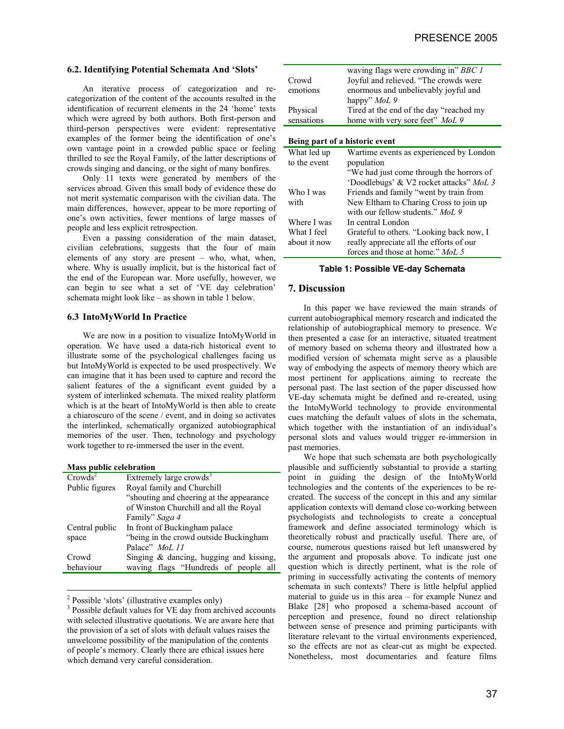# **6.2. Identifying Potential Schemata And 'Slots'**

An iterative process of categorization and recategorization of the content of the accounts resulted in the identification of recurrent elements in the 24 'home' texts which were agreed by both authors. Both first-person and third-person perspectives were evident: representative examples of the former being the identification of one's own vantage point in a crowded public space or feeling thrilled to see the Royal Family, of the latter descriptions of crowds singing and dancing, or the sight of many bonfires.

Only 11 texts were generated by members of the services abroad. Given this small body of evidence these do not merit systematic comparison with the civilian data. The main differences, however, appear to be more reporting of one's own activities, fewer mentions of large masses of people and less explicit retrospection.

Even a passing consideration of the main dataset, civilian celebrations, suggests that the four of main elements of any story are present – who, what, when, where. Why is usually implicit, but is the historical fact of the end of the European war. More usefully, however, we can begin to see what a set of 'VE day celebration' schemata might look like – as shown in table 1 below.

#### **6.3 IntoMyWorld In Practice**

We are now in a position to visualize IntoMyWorld in operation. We have used a data-rich historical event to illustrate some of the psychological challenges facing us but IntoMyWorld is expected to be used prospectively. We can imagine that it has been used to capture and record the salient features of the a significant event guided by a system of interlinked schemata. The mixed reality platform which is at the heart of IntoMyWorld is then able to create a chiaroscuro of the scene / event, and in doing so activates the interlinked, schematically organized autobiographical memories of the user. Then, technology and psychology work together to re-immersed the user in the event.

#### **Mass public celebration**

| $Crowds^2$     | Extremely large crowds <sup>3</sup>      |
|----------------|------------------------------------------|
| Public figures | Royal family and Churchill               |
|                | "shouting and cheering at the appearance |
|                | of Winston Churchill and all the Royal   |
|                | Family" Saga 4                           |
| Central public | In front of Buckingham palace            |
| space          | "being in the crowd outside Buckingham   |
|                | Palace" MoL 11                           |
| Crowd          | Singing & dancing, hugging and kissing,  |
| behaviour      | waving flags "Hundreds of people all     |

<sup>&</sup>lt;sup>2</sup> Possible 'slots' (illustrative examples only)

|                                | waving flags were crowding in" BBC 1     |
|--------------------------------|------------------------------------------|
| Crowd                          | Joyful and relieved. "The crowds were    |
| emotions                       | enormous and unbelievably joyful and     |
|                                | happy" <i>MoL</i> 9                      |
| Physical                       | Tired at the end of the day "reached my  |
| sensations                     | home with very sore feet" MoL 9          |
|                                |                                          |
| Being part of a historic event |                                          |
| What led up                    | Wartime events as experienced by London  |
| to the event                   | population                               |
|                                | "We had just come through the horrors of |
|                                | 'Doodlebugs' & V2 rocket attacks" MoL 3  |
| Who I was                      | Friends and family "went by train from   |
| with                           | New Eltham to Charing Cross to join up   |
|                                | with our fellow students." MoL 9         |
| Where I was                    | In central London                        |
| What I feel                    | Grateful to others. "Looking back now, I |
| about it now                   | really appreciate all the efforts of our |

#### **Table 1: Possible VE-day Schemata**

forces and those at home." *MoL 5*

### **7. Discussion**

In this paper we have reviewed the main strands of current autobiographical memory research and indicated the relationship of autobiographical memory to presence. We then presented a case for an interactive, situated treatment of memory based on schema theory and illustrated how a modified version of schemata might serve as a plausible way of embodying the aspects of memory theory which are most pertinent for applications aiming to recreate the personal past. The last section of the paper discussed how VE-day schemata might be defined and re-created, using the IntoMyWorld technology to provide environmental cues matching the default values of slots in the schemata, which together with the instantiation of an individual's personal slots and values would trigger re-immersion in past memories.

We hope that such schemata are both psychologically plausible and sufficiently substantial to provide a starting point in guiding the design of the IntoMyWorld technologies and the contents of the experiences to be recreated. The success of the concept in this and any similar application contexts will demand close co-working between psychologists and technologists to create a conceptual framework and define associated terminology which is theoretically robust and practically useful. There are, of course, numerous questions raised but left unanswered by the argument and proposals above. To indicate just one question which is directly pertinent, what is the role of priming in successfully activating the contents of memory schemata in such contexts? There is little helpful applied material to guide us in this area – for example Nunez and Blake [28] who proposed a schema-based account of perception and presence, found no direct relationship between sense of presence and priming participants with literature relevant to the virtual environments experienced, so the effects are not as clear-cut as might be expected. Nonetheless, most documentaries and feature films

<sup>&</sup>lt;sup>3</sup> Possible default values for VE day from archived accounts with selected illustrative quotations. We are aware here that the provision of a set of slots with default values raises the unwelcome possibility of the manipulation of the contents of people's memory. Clearly there are ethical issues here which demand very careful consideration.